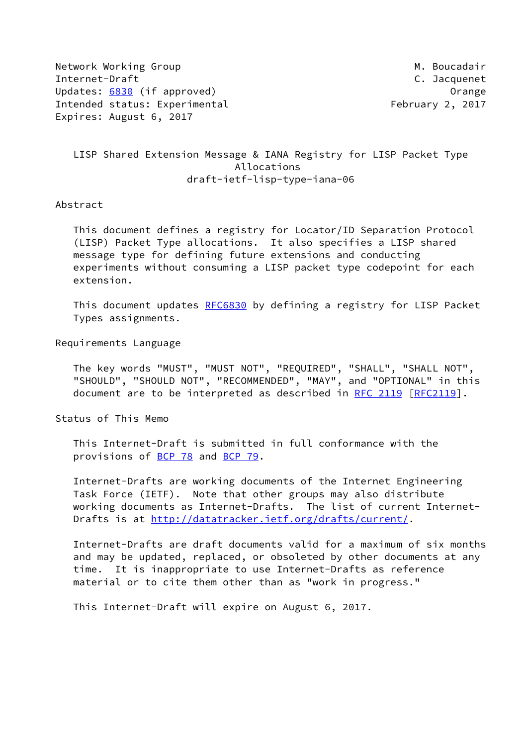Network Working Group Methods and the Music Music Music Music Music Music Music Music Music Music Music Music M Internet-Draft C. Jacquenet Updates: [6830](https://datatracker.ietf.org/doc/pdf/rfc6830) (if approved) and the control of the control of the control of the control of the control of the control of the control of the control of the control of the control of the control of the control of the contro Intended status: Experimental February 2, 2017 Expires: August 6, 2017

# LISP Shared Extension Message & IANA Registry for LISP Packet Type Allocations draft-ietf-lisp-type-iana-06

#### Abstract

 This document defines a registry for Locator/ID Separation Protocol (LISP) Packet Type allocations. It also specifies a LISP shared message type for defining future extensions and conducting experiments without consuming a LISP packet type codepoint for each extension.

This document updates [RFC6830](https://datatracker.ietf.org/doc/pdf/rfc6830) by defining a registry for LISP Packet Types assignments.

Requirements Language

 The key words "MUST", "MUST NOT", "REQUIRED", "SHALL", "SHALL NOT", "SHOULD", "SHOULD NOT", "RECOMMENDED", "MAY", and "OPTIONAL" in this document are to be interpreted as described in [RFC 2119 \[RFC2119](https://datatracker.ietf.org/doc/pdf/rfc2119)].

Status of This Memo

 This Internet-Draft is submitted in full conformance with the provisions of [BCP 78](https://datatracker.ietf.org/doc/pdf/bcp78) and [BCP 79](https://datatracker.ietf.org/doc/pdf/bcp79).

 Internet-Drafts are working documents of the Internet Engineering Task Force (IETF). Note that other groups may also distribute working documents as Internet-Drafts. The list of current Internet Drafts is at<http://datatracker.ietf.org/drafts/current/>.

 Internet-Drafts are draft documents valid for a maximum of six months and may be updated, replaced, or obsoleted by other documents at any time. It is inappropriate to use Internet-Drafts as reference material or to cite them other than as "work in progress."

This Internet-Draft will expire on August 6, 2017.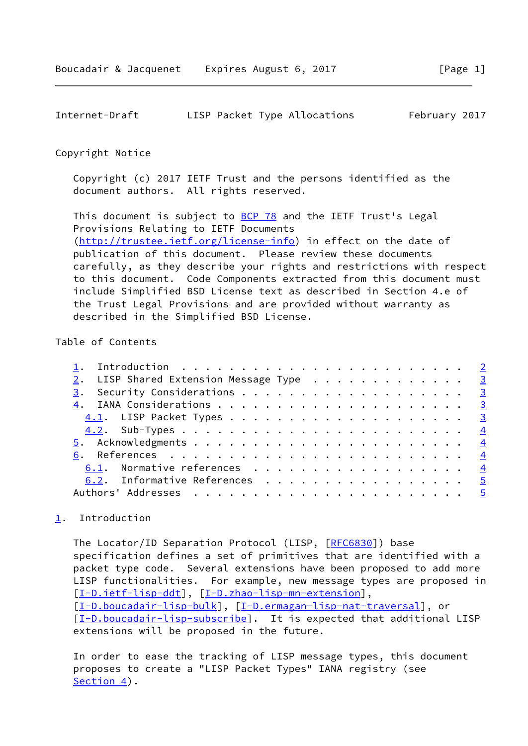<span id="page-1-1"></span>

| Internet-Draft |  | LISP Packet Type Allocations | February 2017 |  |
|----------------|--|------------------------------|---------------|--|
|                |  |                              |               |  |

#### Copyright Notice

 Copyright (c) 2017 IETF Trust and the persons identified as the document authors. All rights reserved.

This document is subject to **[BCP 78](https://datatracker.ietf.org/doc/pdf/bcp78)** and the IETF Trust's Legal Provisions Relating to IETF Documents [\(http://trustee.ietf.org/license-info](http://trustee.ietf.org/license-info)) in effect on the date of publication of this document. Please review these documents carefully, as they describe your rights and restrictions with respect to this document. Code Components extracted from this document must include Simplified BSD License text as described in Section 4.e of the Trust Legal Provisions and are provided without warranty as described in the Simplified BSD License.

## Table of Contents

| 2. LISP Shared Extension Message Type 3 |  |
|-----------------------------------------|--|
|                                         |  |
|                                         |  |
|                                         |  |
|                                         |  |
|                                         |  |
|                                         |  |
| 6.1. Normative references 4             |  |
| 6.2. Informative References 5           |  |
|                                         |  |

# <span id="page-1-0"></span>[1](#page-1-0). Introduction

The Locator/ID Separation Protocol (LISP, [[RFC6830](https://datatracker.ietf.org/doc/pdf/rfc6830)]) base specification defines a set of primitives that are identified with a packet type code. Several extensions have been proposed to add more LISP functionalities. For example, new message types are proposed in [\[I-D.ietf-lisp-ddt](#page-5-0)], [\[I-D.zhao-lisp-mn-extension\]](#page-5-1), [\[I-D.boucadair-lisp-bulk](#page-4-5)], [[I-D.ermagan-lisp-nat-traversal](#page-5-2)], or [\[I-D.boucadair-lisp-subscribe](#page-4-6)]. It is expected that additional LISP extensions will be proposed in the future.

 In order to ease the tracking of LISP message types, this document proposes to create a "LISP Packet Types" IANA registry (see [Section 4](#page-2-3)).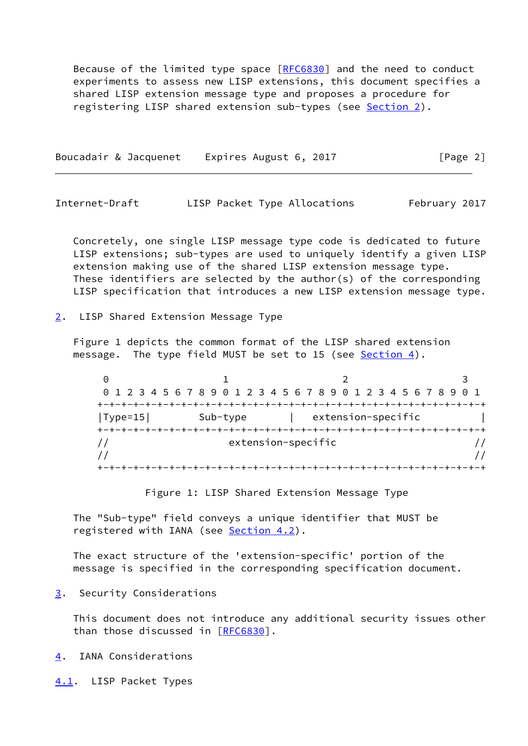Because of the limited type space  $[REG830]$  and the need to conduct experiments to assess new LISP extensions, this document specifies a shared LISP extension message type and proposes a procedure for registering LISP shared extension sub-types (see [Section 2](#page-2-0)).

Boucadair & Jacquenet Expires August 6, 2017 [Page 2]

<span id="page-2-1"></span>Internet-Draft LISP Packet Type Allocations February 2017

 Concretely, one single LISP message type code is dedicated to future LISP extensions; sub-types are used to uniquely identify a given LISP extension making use of the shared LISP extension message type. These identifiers are selected by the author(s) of the corresponding LISP specification that introduces a new LISP extension message type.

<span id="page-2-0"></span>[2](#page-2-0). LISP Shared Extension Message Type

 Figure 1 depicts the common format of the LISP shared extension message. The type field MUST be set to 15 (see [Section 4](#page-2-3)).

 $0$  1 2 3 0 1 2 3 4 5 6 7 8 9 0 1 2 3 4 5 6 7 8 9 0 1 2 3 4 5 6 7 8 9 0 1 +-+-+-+-+-+-+-+-+-+-+-+-+-+-+-+-+-+-+-+-+-+-+-+-+-+-+-+-+-+-+-+-+ |Type=15| Sub-type | extension-specific | +-+-+-+-+-+-+-+-+-+-+-+-+-+-+-+-+-+-+-+-+-+-+-+-+-+-+-+-+-+-+-+-+ // extension-specific //  $\frac{1}{2}$  // +-+-+-+-+-+-+-+-+-+-+-+-+-+-+-+-+-+-+-+-+-+-+-+-+-+-+-+-+-+-+-+-+

Figure 1: LISP Shared Extension Message Type

 The "Sub-type" field conveys a unique identifier that MUST be registered with IANA (see [Section 4.2](#page-3-0)).

 The exact structure of the 'extension-specific' portion of the message is specified in the corresponding specification document.

<span id="page-2-2"></span>[3](#page-2-2). Security Considerations

 This document does not introduce any additional security issues other than those discussed in [\[RFC6830](https://datatracker.ietf.org/doc/pdf/rfc6830)].

<span id="page-2-3"></span>[4](#page-2-3). IANA Considerations

<span id="page-2-4"></span>[4.1](#page-2-4). LISP Packet Types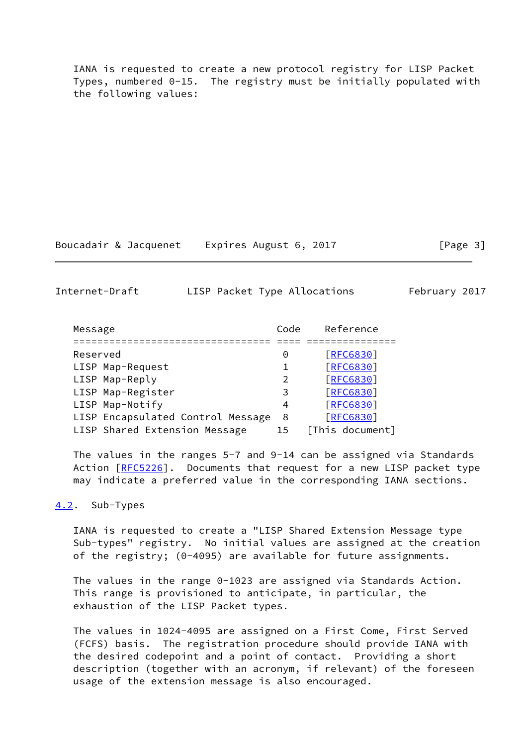IANA is requested to create a new protocol registry for LISP Packet Types, numbered 0-15. The registry must be initially populated with the following values:

Boucadair & Jacquenet Expires August 6, 2017 [Page 3]

<span id="page-3-1"></span>Internet-Draft LISP Packet Type Allocations February 2017

| Message                           | Code          | Reference        |
|-----------------------------------|---------------|------------------|
|                                   |               |                  |
| Reserved                          | 0             | [REG830]         |
| LISP Map-Request                  |               | [REG830]         |
| LISP Map-Reply                    | $\mathcal{P}$ | [REG830]         |
| LISP Map-Register                 | 3             | <b>FRFC68301</b> |
| LISP Map-Notify                   | 4             | <b>FRFC68301</b> |
| LISP Encapsulated Control Message | 8             | <b>[RFC6830]</b> |
| LISP Shared Extension Message     | 15            | [This document]  |

 The values in the ranges 5-7 and 9-14 can be assigned via Standards Action [\[RFC5226](https://datatracker.ietf.org/doc/pdf/rfc5226)]. Documents that request for a new LISP packet type may indicate a preferred value in the corresponding IANA sections.

#### <span id="page-3-0"></span>[4.2](#page-3-0). Sub-Types

 IANA is requested to create a "LISP Shared Extension Message type Sub-types" registry. No initial values are assigned at the creation of the registry; (0-4095) are available for future assignments.

 The values in the range 0-1023 are assigned via Standards Action. This range is provisioned to anticipate, in particular, the exhaustion of the LISP Packet types.

 The values in 1024-4095 are assigned on a First Come, First Served (FCFS) basis. The registration procedure should provide IANA with the desired codepoint and a point of contact. Providing a short description (together with an acronym, if relevant) of the foreseen usage of the extension message is also encouraged.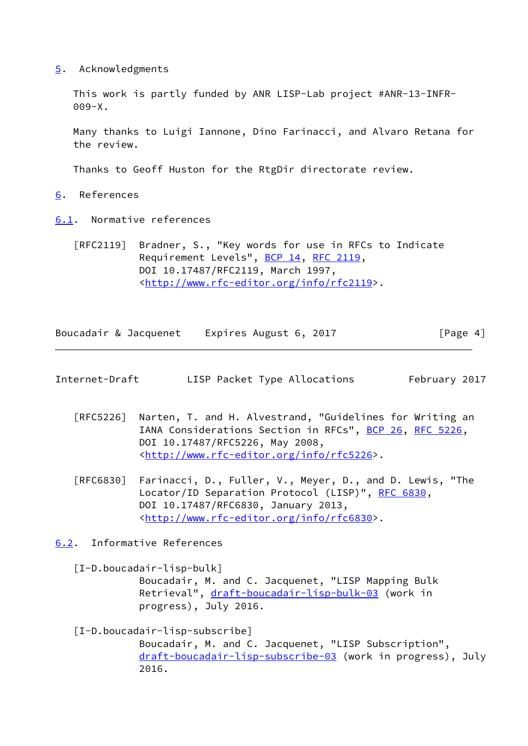<span id="page-4-0"></span>[5](#page-4-0). Acknowledgments

 This work is partly funded by ANR LISP-Lab project #ANR-13-INFR- 009-X.

 Many thanks to Luigi Iannone, Dino Farinacci, and Alvaro Retana for the review.

Thanks to Geoff Huston for the RtgDir directorate review.

- <span id="page-4-1"></span>[6](#page-4-1). References
- <span id="page-4-2"></span>[6.1](#page-4-2). Normative references
	- [RFC2119] Bradner, S., "Key words for use in RFCs to Indicate Requirement Levels", [BCP 14](https://datatracker.ietf.org/doc/pdf/bcp14), [RFC 2119](https://datatracker.ietf.org/doc/pdf/rfc2119), DOI 10.17487/RFC2119, March 1997, <<http://www.rfc-editor.org/info/rfc2119>>.

| Boucadair & Jacquenet | Expires August 6, 2017 | [Page 4] |
|-----------------------|------------------------|----------|
|                       |                        |          |

- <span id="page-4-4"></span>Internet-Draft LISP Packet Type Allocations February 2017
	- [RFC5226] Narten, T. and H. Alvestrand, "Guidelines for Writing an IANA Considerations Section in RFCs", [BCP 26](https://datatracker.ietf.org/doc/pdf/bcp26), [RFC 5226](https://datatracker.ietf.org/doc/pdf/rfc5226), DOI 10.17487/RFC5226, May 2008, <<http://www.rfc-editor.org/info/rfc5226>>.
	- [RFC6830] Farinacci, D., Fuller, V., Meyer, D., and D. Lewis, "The Locator/ID Separation Protocol (LISP)", [RFC 6830,](https://datatracker.ietf.org/doc/pdf/rfc6830) DOI 10.17487/RFC6830, January 2013, <<http://www.rfc-editor.org/info/rfc6830>>.
- <span id="page-4-3"></span>[6.2](#page-4-3). Informative References

<span id="page-4-5"></span> [I-D.boucadair-lisp-bulk] Boucadair, M. and C. Jacquenet, "LISP Mapping Bulk Retrieval", [draft-boucadair-lisp-bulk-03](https://datatracker.ietf.org/doc/pdf/draft-boucadair-lisp-bulk-03) (work in progress), July 2016.

<span id="page-4-6"></span> [I-D.boucadair-lisp-subscribe] Boucadair, M. and C. Jacquenet, "LISP Subscription", [draft-boucadair-lisp-subscribe-03](https://datatracker.ietf.org/doc/pdf/draft-boucadair-lisp-subscribe-03) (work in progress), July 2016.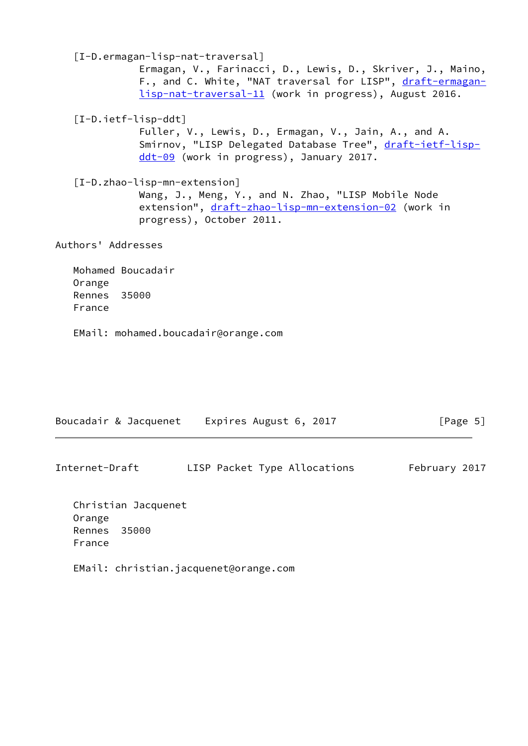<span id="page-5-2"></span><span id="page-5-1"></span><span id="page-5-0"></span> [I-D.ermagan-lisp-nat-traversal] Ermagan, V., Farinacci, D., Lewis, D., Skriver, J., Maino, F., and C. White, "NAT traversal for LISP", [draft-ermagan](https://datatracker.ietf.org/doc/pdf/draft-ermagan-lisp-nat-traversal-11) [lisp-nat-traversal-11](https://datatracker.ietf.org/doc/pdf/draft-ermagan-lisp-nat-traversal-11) (work in progress), August 2016. [I-D.ietf-lisp-ddt] Fuller, V., Lewis, D., Ermagan, V., Jain, A., and A. Smirnov, "LISP Delegated Database Tree", [draft-ietf-lisp](https://datatracker.ietf.org/doc/pdf/draft-ietf-lisp-ddt-09) [ddt-09](https://datatracker.ietf.org/doc/pdf/draft-ietf-lisp-ddt-09) (work in progress), January 2017. [I-D.zhao-lisp-mn-extension] Wang, J., Meng, Y., and N. Zhao, "LISP Mobile Node extension", [draft-zhao-lisp-mn-extension-02](https://datatracker.ietf.org/doc/pdf/draft-zhao-lisp-mn-extension-02) (work in progress), October 2011. Authors' Addresses Mohamed Boucadair Orange Rennes 35000

- France
- EMail: mohamed.boucadair@orange.com

| Boucadair & Jacquenet Expires August 6, 2017 | [Page 5] |
|----------------------------------------------|----------|
|                                              |          |

| LISP Packet Type Allocations<br>Internet-Draft | February 2017 |
|------------------------------------------------|---------------|
|------------------------------------------------|---------------|

 Christian Jacquenet Orange Rennes 35000 France

EMail: christian.jacquenet@orange.com